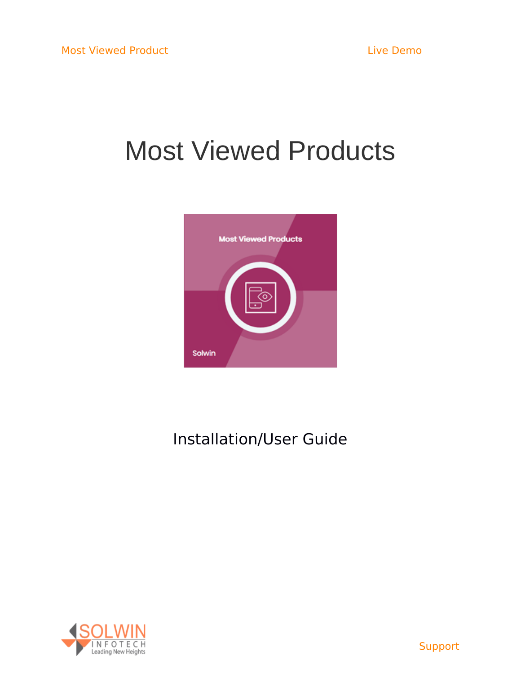# Most Viewed Products



# Installation/User Guide

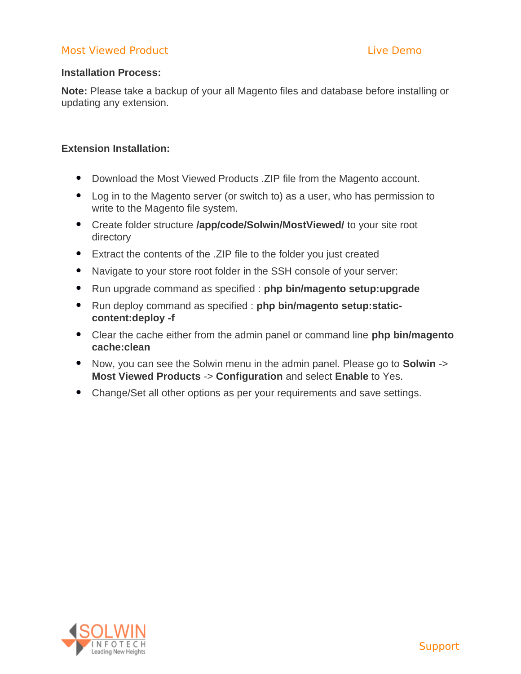# **Installation Process:**

**Note:** Please take a backup of your all Magento files and database before installing or updating any extension.

# **Extension Installation:**

- Download the Most Viewed Products .ZIP file from the Magento account.
- Log in to the Magento server (or switch to) as a user, who has permission to write to the Magento file system.
- Create folder structure **/app/code/Solwin/MostViewed/** to your site root directory
- Extract the contents of the .ZIP file to the folder you just created
- Navigate to your store root folder in the SSH console of your server:
- Run upgrade command as specified : **php bin/magento setup:upgrade**
- Run deploy command as specified : **php bin/magento setup:staticcontent:deploy -f**
- Clear the cache either from the admin panel or command line **php bin/magento cache:clean**
- Now, you can see the Solwin menu in the admin panel. Please go to **Solwin** -> **Most Viewed Products** -> **Configuration** and select **Enable** to Yes.
- Change/Set all other options as per your requirements and save settings.

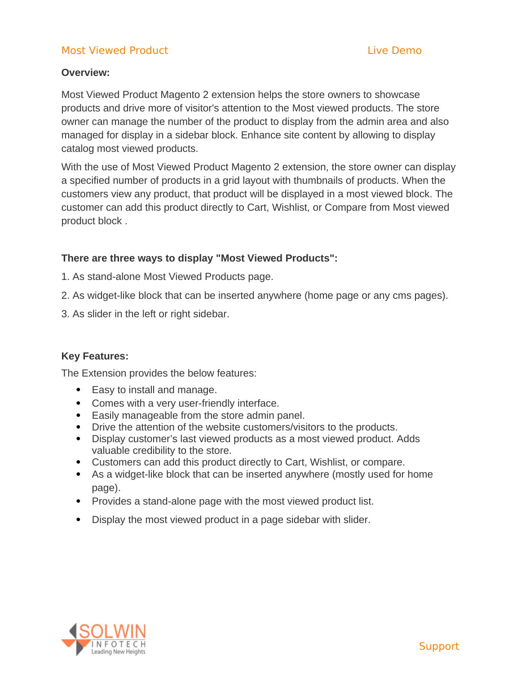# **Overview:**

Most Viewed Product Magento 2 extension helps the store owners to showcase products and drive more of visitor's attention to the Most viewed products. The store owner can manage the number of the product to display from the admin area and also managed for display in a sidebar block. Enhance site content by allowing to display catalog most viewed products.

With the use of Most Viewed Product Magento 2 extension, the store owner can display a specified number of products in a grid layout with thumbnails of products. When the customers view any product, that product will be displayed in a most viewed block. The customer can add this product directly to Cart, Wishlist, or Compare from Most viewed product block .

# **There are three ways to display "Most Viewed Products":**

- 1. As stand-alone Most Viewed Products page.
- 2. As widget-like block that can be inserted anywhere (home page or any cms pages).
- 3. As slider in the left or right sidebar.

# **Key Features:**

The Extension provides the below features:

- Easy to install and manage.
- Comes with a very user-friendly interface.
- Easily manageable from the store admin panel.
- Drive the attention of the website customers/visitors to the products.
- Display customer's last viewed products as a most viewed product. Adds valuable credibility to the store.
- Customers can add this product directly to Cart, Wishlist, or compare.
- As a widget-like block that can be inserted anywhere (mostly used for home page).
- Provides a stand-alone page with the most viewed product list.
- Display the most viewed product in a page sidebar with slider.

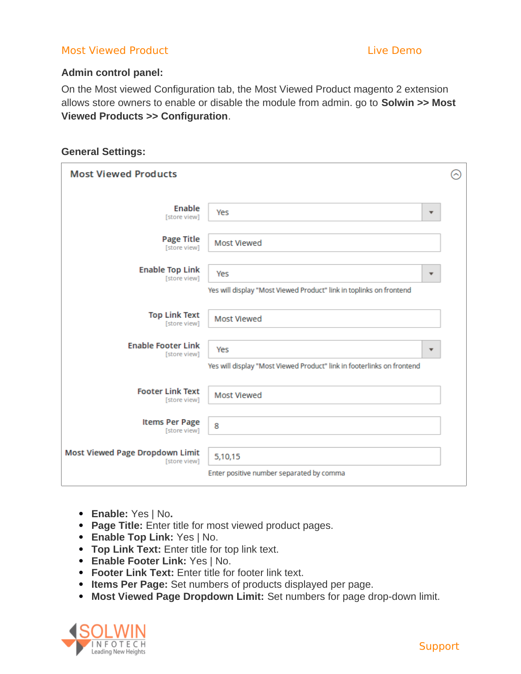# **Admin control panel:**

On the Most viewed Configuration tab, the Most Viewed Product magento 2 extension allows store owners to enable or disable the module from admin. go to **Solwin >> Most Viewed Products >> Configuration**.

# **General Settings:**

| <b>Most Viewed Products</b>                     |                                                                        |                         |  |  |  |
|-------------------------------------------------|------------------------------------------------------------------------|-------------------------|--|--|--|
|                                                 |                                                                        |                         |  |  |  |
| Enable<br>[store view]                          | Yes                                                                    | $\overline{\mathbf{v}}$ |  |  |  |
| <b>Page Title</b><br>[store view]               | Most Viewed                                                            |                         |  |  |  |
| <b>Enable Top Link</b><br>[store view]          | Yes                                                                    | ▼                       |  |  |  |
|                                                 | Yes will display "Most Viewed Product" link in toplinks on frontend    |                         |  |  |  |
| <b>Top Link Text</b><br>[store view]            | <b>Most Viewed</b>                                                     |                         |  |  |  |
| <b>Enable Footer Link</b><br>[store view]       | Yes                                                                    |                         |  |  |  |
|                                                 | Yes will display "Most Viewed Product" link in footerlinks on frontend |                         |  |  |  |
| <b>Footer Link Text</b><br>[store view]         | <b>Most Viewed</b>                                                     |                         |  |  |  |
| <b>Items Per Page</b><br>[store view]           | 8                                                                      |                         |  |  |  |
| Most Viewed Page Dropdown Limit<br>[store view] | 5,10,15                                                                |                         |  |  |  |
|                                                 | Enter positive number separated by comma                               |                         |  |  |  |

- **Enable:** Yes | No**.**
- **Page Title:** Enter title for most viewed product pages.
- **Enable Top Link:** Yes | No.
- **Top Link Text:** Enter title for top link text.
- **Enable Footer Link:** Yes | No.
- **Footer Link Text:** Enter title for footer link text.
- **Items Per Page:** Set numbers of products displayed per page.
- **Most Viewed Page Dropdown Limit:** Set numbers for page drop-down limit.



**[Support](https://support.solwininfotech.com/)**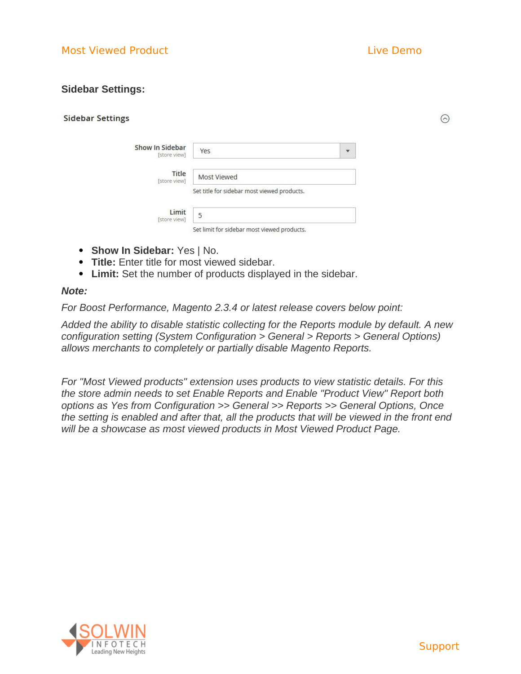$\odot$ 

# **Sidebar Settings:**

| Show In Sidebar<br>[store view] | Yes                                         |
|---------------------------------|---------------------------------------------|
| Title<br>[store view]           | Most Viewed                                 |
|                                 | Set title for sidebar most viewed products. |
| Limit<br>[store view]           | 5                                           |
|                                 | Set limit for sidebar most viewed products. |

- **Show In Sidebar:** Yes | No.
- **Title:** Enter title for most viewed sidebar.
- **Limit:** Set the number of products displayed in the sidebar.

### *Note:*

*For Boost Performance, Magento 2.3.4 or latest release covers below point:*

*Added the ability to disable statistic collecting for the Reports module by default. A new configuration setting (System Configuration > General > Reports > General Options) allows merchants to completely or partially disable Magento Reports.*

*For "Most Viewed products" extension uses products to view statistic details. For this the store admin needs to set Enable Reports and Enable "Product View" Report both options as Yes from Configuration >> General >> Reports >> General Options, Once the setting is enabled and after that, all the products that will be viewed in the front end will be a showcase as most viewed products in Most Viewed Product Page.*

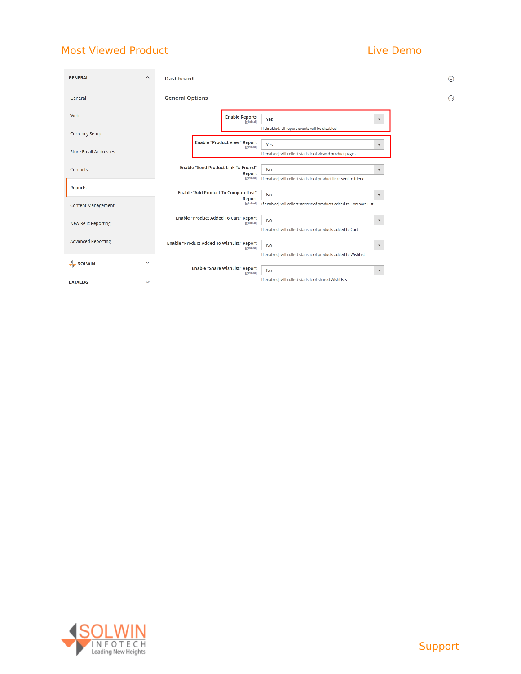| <b>GENERAL</b><br>$\boldsymbol{\wedge}$     | Dashboard                                                                                                                                                             | $\odot$ |
|---------------------------------------------|-----------------------------------------------------------------------------------------------------------------------------------------------------------------------|---------|
| General                                     | <b>General Options</b>                                                                                                                                                | ଚ       |
| Web                                         | <b>Enable Reports</b><br>Yes<br>$\blacktriangledown$<br>[global]                                                                                                      |         |
| <b>Currency Setup</b>                       | If disabled, all report events will be disabled<br><b>Enable "Product View" Report</b>                                                                                |         |
| <b>Store Email Addresses</b>                | Yes<br>$\blacktriangledown$<br>[global]<br>If enabled, will collect statistic of viewed product pages                                                                 |         |
| Contacts                                    | Enable "Send Product Link To Friend"<br><b>No</b><br>$\blacktriangledown$<br>Report<br>If enabled, will collect statistic of product links sent to friend<br>[global] |         |
| <b>Reports</b>                              | Enable "Add Product To Compare List"<br><b>No</b><br>$\blacktriangledown$                                                                                             |         |
| <b>Content Management</b>                   | Report<br>[global]<br>If enabled, will collect statistic of products added to Compare List                                                                            |         |
| New Relic Reporting                         | Enable "Product Added To Cart" Report<br>No<br>$\blacktriangledown$<br>[global]<br>If enabled, will collect statistic of products added to Cart                       |         |
| <b>Advanced Reporting</b>                   | Enable "Product Added To WishList" Report<br><b>No</b><br>$\blacktriangledown$<br>[global]                                                                            |         |
| $\checkmark$<br>$\frac{1}{\sqrt{2}}$ SOLWIN | If enabled, will collect statistic of products added to WishList<br>Enable "Share WishList" Report                                                                    |         |
| <b>CATALOG</b><br>$\checkmark$              | No<br>$\blacktriangledown$<br>[global]<br>If enabled, will collect statistic of shared WishLists                                                                      |         |



# [Support](https://support.solwininfotech.com/)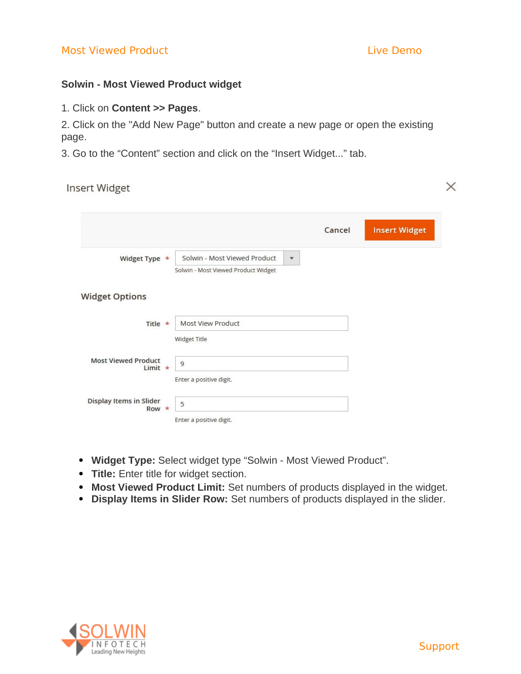$\times$ 

# **Solwin - Most Viewed Product widget**

1. Click on **Content >> Pages**.

2. Click on the "Add New Page" button and create a new page or open the existing page.

3. Go to the "Content" section and click on the "Insert Widget..." tab.

**Insert Widget** 

|                                             |                                                                                                | Cancel | <b>Insert Widget</b> |
|---------------------------------------------|------------------------------------------------------------------------------------------------|--------|----------------------|
| Widget Type *                               | Solwin - Most Viewed Product<br>$\overline{\mathbf{v}}$<br>Solwin - Most Viewed Product Widget |        |                      |
| <b>Widget Options</b>                       |                                                                                                |        |                      |
| Title $\star$                               | <b>Most View Product</b><br>Widget Title                                                       |        |                      |
| <b>Most Viewed Product</b><br>Limit $\star$ | 9<br>Enter a positive digit.                                                                   |        |                      |
| Display Items in Slider<br>Row $*$          | 5<br>Enter a positive digit.                                                                   |        |                      |

- **Widget Type:** Select widget type "Solwin Most Viewed Product".
- **Title:** Enter title for widget section.
- **Most Viewed Product Limit:** Set numbers of products displayed in the widget.
- **Display Items in Slider Row:** Set numbers of products displayed in the slider.

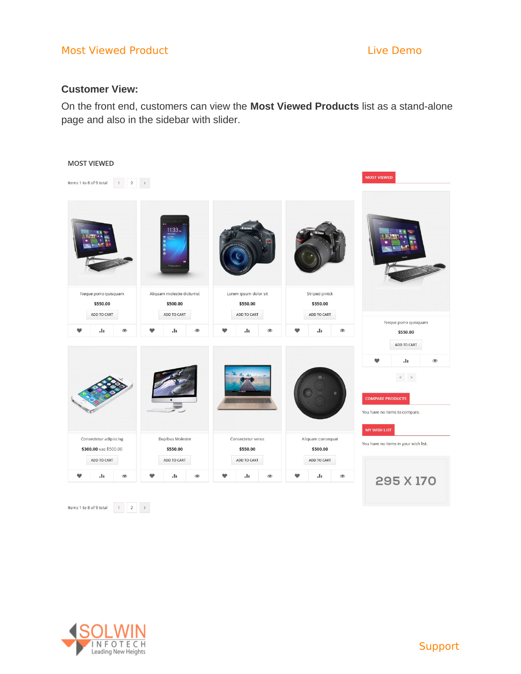# Most Viewed Product No. 2008 - Contract Most Viewed Product

# **Customer View:**

On the front end, customers can view the **Most Viewed Products** list as a stand-alone page and also in the sidebar with slider.



Items 1 to 8 of 9 total  $\begin{array}{|c|c|c|c|}\n\hline\n1 & 2 & \rightarrow \end{array}$ 

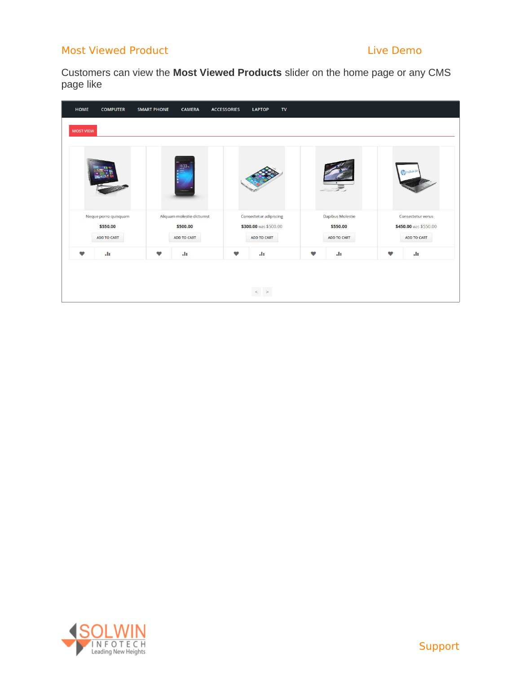Customers can view the **Most Viewed Products** slider on the home page or any CMS page like

| <b>HOME</b>      | <b>COMPUTER</b>      | <b>SMART PHONE</b> | <b>CAMERA</b>             | <b>ACCESSORIES</b> | <b>LAPTOP</b><br>$\mathsf{TV}$ |   |                    |           |                        |  |
|------------------|----------------------|--------------------|---------------------------|--------------------|--------------------------------|---|--------------------|-----------|------------------------|--|
| <b>MOST VIEW</b> |                      |                    |                           |                    |                                |   |                    |           |                        |  |
|                  |                      |                    | $11.33 -$                 |                    |                                |   |                    |           | <b>Trip ProBusik M</b> |  |
|                  | Neque porro quisquam |                    | Aliquam molestie dictumst |                    | Consectetur adipiscing         |   | Dapibus Molestie   |           | Consectetur verus      |  |
|                  | \$550.00             |                    | \$500.00                  |                    | \$300.00 was \$500.00          |   | \$550.00           |           | \$450.00 was \$550.00  |  |
|                  | <b>ADD TO CART</b>   |                    | <b>ADD TO CART</b>        |                    | <b>ADD TO CART</b>             |   | <b>ADD TO CART</b> |           | <b>ADD TO CART</b>     |  |
| $\bullet$        | ala.                 | v                  | ala.                      | v                  | ala.                           | v | ah.                | $\bullet$ | ala.                   |  |
|                  |                      |                    |                           |                    |                                |   |                    |           |                        |  |
|                  |                      |                    |                           |                    | $\langle \rangle$              |   |                    |           |                        |  |